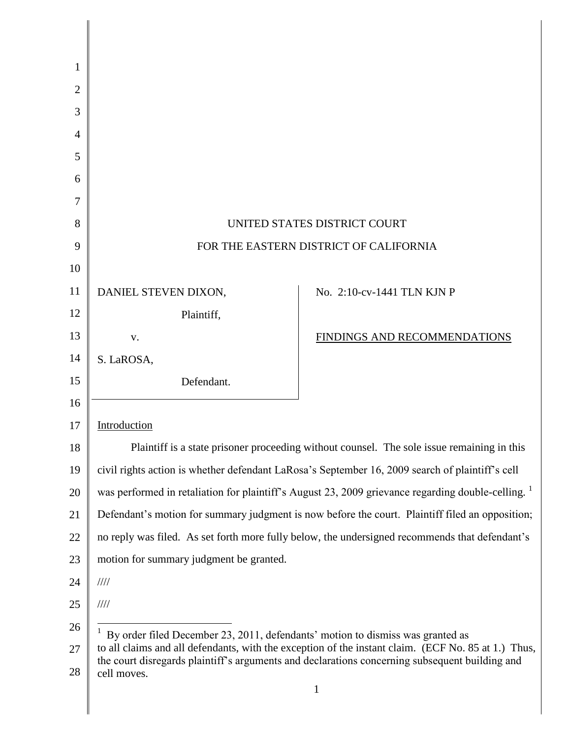|                                                                                    | UNITED STATES DISTRICT COURT                                                                                                                                                                          |
|------------------------------------------------------------------------------------|-------------------------------------------------------------------------------------------------------------------------------------------------------------------------------------------------------|
|                                                                                    | FOR THE EASTERN DISTRICT OF CALIFORNIA                                                                                                                                                                |
|                                                                                    |                                                                                                                                                                                                       |
| DANIEL STEVEN DIXON,                                                               | No. 2:10-cv-1441 TLN KJN P                                                                                                                                                                            |
| Plaintiff,                                                                         |                                                                                                                                                                                                       |
| V.                                                                                 | FINDINGS AND RECOMMENDATIONS                                                                                                                                                                          |
| S. LaROSA,                                                                         |                                                                                                                                                                                                       |
| Defendant.                                                                         |                                                                                                                                                                                                       |
|                                                                                    |                                                                                                                                                                                                       |
| Introduction                                                                       |                                                                                                                                                                                                       |
|                                                                                    | Plaintiff is a state prisoner proceeding without counsel. The sole issue remaining in this                                                                                                            |
|                                                                                    | civil rights action is whether defendant LaRosa's September 16, 2009 search of plaintiff's cell                                                                                                       |
|                                                                                    | was performed in retaliation for plaintiff's August 23, 2009 grievance regarding double-celling. <sup>1</sup>                                                                                         |
|                                                                                    | Defendant's motion for summary judgment is now before the court. Plaintiff filed an opposition;                                                                                                       |
|                                                                                    | no reply was filed. As set forth more fully below, the undersigned recommends that defendant's                                                                                                        |
| motion for summary judgment be granted.                                            |                                                                                                                                                                                                       |
| 1111                                                                               |                                                                                                                                                                                                       |
| $\frac{1}{1}$                                                                      |                                                                                                                                                                                                       |
| $1$ By order filed December 23, 2011, defendants' motion to dismiss was granted as |                                                                                                                                                                                                       |
|                                                                                    | to all claims and all defendants, with the exception of the instant claim. (ECF No. 85 at 1.) Thus,<br>the court disregards plaintiff's arguments and declarations concerning subsequent building and |
| cell moves.                                                                        | $\mathbf{1}$                                                                                                                                                                                          |
|                                                                                    |                                                                                                                                                                                                       |
|                                                                                    |                                                                                                                                                                                                       |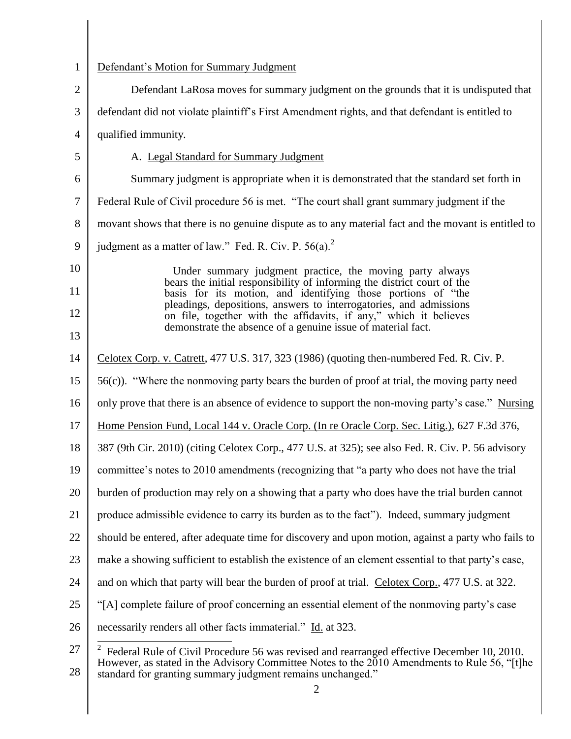| $\mathbf{1}$   | Defendant's Motion for Summary Judgment                                                                                                                                        |
|----------------|--------------------------------------------------------------------------------------------------------------------------------------------------------------------------------|
|                |                                                                                                                                                                                |
| $\overline{2}$ | Defendant LaRosa moves for summary judgment on the grounds that it is undisputed that                                                                                          |
| 3              | defendant did not violate plaintiff's First Amendment rights, and that defendant is entitled to                                                                                |
| $\overline{4}$ | qualified immunity.                                                                                                                                                            |
| 5              | A. Legal Standard for Summary Judgment                                                                                                                                         |
| 6              | Summary judgment is appropriate when it is demonstrated that the standard set forth in                                                                                         |
| $\tau$         | Federal Rule of Civil procedure 56 is met. "The court shall grant summary judgment if the                                                                                      |
| 8              | movant shows that there is no genuine dispute as to any material fact and the movant is entitled to                                                                            |
| 9              | judgment as a matter of law." Fed. R. Civ. P. 56(a). <sup>2</sup>                                                                                                              |
| 10             | Under summary judgment practice, the moving party always                                                                                                                       |
| 11             | bears the initial responsibility of informing the district court of the<br>basis for its motion, and identifying those portions of "the                                        |
| 12             | pleadings, depositions, answers to interrogatories, and admissions<br>on file, together with the affidavits, if any," which it believes                                        |
| 13             | demonstrate the absence of a genuine issue of material fact.                                                                                                                   |
| 14             | Celotex Corp. v. Catrett, 477 U.S. 317, 323 (1986) (quoting then-numbered Fed. R. Civ. P.                                                                                      |
| 15             | 56(c)). "Where the nonmoving party bears the burden of proof at trial, the moving party need                                                                                   |
| 16             | only prove that there is an absence of evidence to support the non-moving party's case." Nursing                                                                               |
| 17             | Home Pension Fund, Local 144 v. Oracle Corp. (In re Oracle Corp. Sec. Litig.), 627 F.3d 376,                                                                                   |
| 18             | 387 (9th Cir. 2010) (citing Celotex Corp., 477 U.S. at 325); see also Fed. R. Civ. P. 56 advisory                                                                              |
| 19             | committee's notes to 2010 amendments (recognizing that "a party who does not have the trial                                                                                    |
| 20             | burden of production may rely on a showing that a party who does have the trial burden cannot                                                                                  |
| 21             | produce admissible evidence to carry its burden as to the fact"). Indeed, summary judgment                                                                                     |
| 22             | should be entered, after adequate time for discovery and upon motion, against a party who fails to                                                                             |
| 23             | make a showing sufficient to establish the existence of an element essential to that party's case,                                                                             |
| 24             | and on which that party will bear the burden of proof at trial. Celotex Corp., 477 U.S. at 322.                                                                                |
| 25             | "[A] complete failure of proof concerning an essential element of the nonmoving party's case                                                                                   |
| 26             | necessarily renders all other facts immaterial." Id. at 323.                                                                                                                   |
| 27             | $\overline{2}$<br>Federal Rule of Civil Procedure 56 was revised and rearranged effective December 10, 2010.                                                                   |
| 28             | However, as stated in the Advisory Committee Notes to the $2010$ Amendments to Rule 56, "[t]he<br>standard for granting summary judgment remains unchanged."<br>$\overline{2}$ |
|                |                                                                                                                                                                                |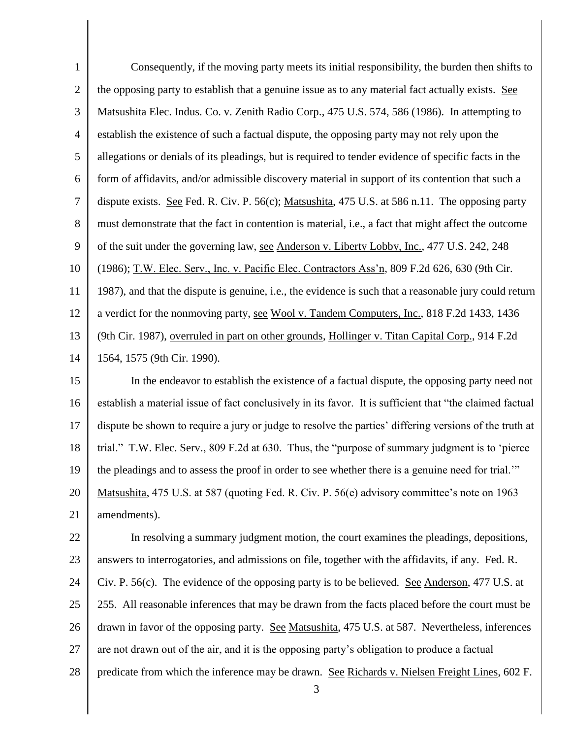| $\mathbf{1}$     | Consequently, if the moving party meets its initial responsibility, the burden then shifts to                |
|------------------|--------------------------------------------------------------------------------------------------------------|
| $\sqrt{2}$       | the opposing party to establish that a genuine issue as to any material fact actually exists. See            |
| $\mathfrak{Z}$   | Matsushita Elec. Indus. Co. v. Zenith Radio Corp., 475 U.S. 574, 586 (1986). In attempting to                |
| $\overline{4}$   | establish the existence of such a factual dispute, the opposing party may not rely upon the                  |
| $\mathfrak{S}$   | allegations or denials of its pleadings, but is required to tender evidence of specific facts in the         |
| 6                | form of affidavits, and/or admissible discovery material in support of its contention that such a            |
| $\boldsymbol{7}$ | dispute exists. See Fed. R. Civ. P. 56(c); Matsushita, 475 U.S. at 586 n.11. The opposing party              |
| 8                | must demonstrate that the fact in contention is material, <i>i.e.</i> , a fact that might affect the outcome |
| 9                | of the suit under the governing law, see Anderson v. Liberty Lobby, Inc., 477 U.S. 242, 248                  |
| 10               | (1986); T.W. Elec. Serv., Inc. v. Pacific Elec. Contractors Ass'n, 809 F.2d 626, 630 (9th Cir.               |
| 11               | 1987), and that the dispute is genuine, i.e., the evidence is such that a reasonable jury could return       |
| 12               | a verdict for the nonmoving party, see Wool v. Tandem Computers, Inc., 818 F.2d 1433, 1436                   |
| 13               | (9th Cir. 1987), overruled in part on other grounds, Hollinger v. Titan Capital Corp., 914 F.2d              |
| 14               | 1564, 1575 (9th Cir. 1990).                                                                                  |
| 15               | In the endeavor to establish the existence of a factual dispute, the opposing party need not                 |
| 16               | establish a material issue of fact conclusively in its favor. It is sufficient that "the claimed factual     |
| 17               | dispute be shown to require a jury or judge to resolve the parties' differing versions of the truth at       |
| 18               | trial." T.W. Elec. Serv., 809 F.2d at 630. Thus, the "purpose of summary judgment is to 'pierce              |
| 19               | the pleadings and to assess the proof in order to see whether there is a genuine need for trial.""           |
| 20               | Matsushita, 475 U.S. at 587 (quoting Fed. R. Civ. P. 56(e) advisory committee's note on 1963                 |
| 21               | amendments).                                                                                                 |
| 22               | In resolving a summary judgment motion, the court examines the pleadings, depositions,                       |
| 23               | answers to interrogatories, and admissions on file, together with the affidavits, if any. Fed. R.            |
| 24               | Civ. P. $56(c)$ . The evidence of the opposing party is to be believed. See Anderson, 477 U.S. at            |
| 25               | 255. All reasonable inferences that may be drawn from the facts placed before the court must be              |
| 26               | drawn in favor of the opposing party. See Matsushita, 475 U.S. at 587. Nevertheless, inferences              |
| 27               | are not drawn out of the air, and it is the opposing party's obligation to produce a factual                 |
| 28               | predicate from which the inference may be drawn. See Richards v. Nielsen Freight Lines, 602 F.<br>3          |

║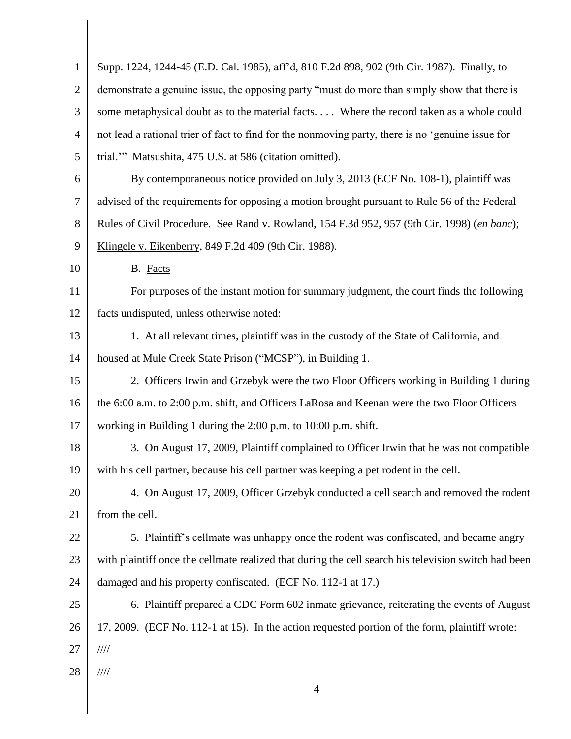| $\mathbf{1}$   | Supp. 1224, 1244-45 (E.D. Cal. 1985), aff'd, 810 F.2d 898, 902 (9th Cir. 1987). Finally, to          |
|----------------|------------------------------------------------------------------------------------------------------|
| $\overline{2}$ | demonstrate a genuine issue, the opposing party "must do more than simply show that there is         |
| 3              | some metaphysical doubt as to the material facts Where the record taken as a whole could             |
| 4              | not lead a rational trier of fact to find for the nonmoving party, there is no 'genuine issue for    |
| 5              | trial." Matsushita, 475 U.S. at 586 (citation omitted).                                              |
| 6              | By contemporaneous notice provided on July 3, 2013 (ECF No. 108-1), plaintiff was                    |
| 7              | advised of the requirements for opposing a motion brought pursuant to Rule 56 of the Federal         |
| 8              | Rules of Civil Procedure. See Rand v. Rowland, 154 F.3d 952, 957 (9th Cir. 1998) (en banc);          |
| 9              | Klingele v. Eikenberry, 849 F.2d 409 (9th Cir. 1988).                                                |
| 10             | B. Facts                                                                                             |
| 11             | For purposes of the instant motion for summary judgment, the court finds the following               |
| 12             | facts undisputed, unless otherwise noted:                                                            |
| 13             | 1. At all relevant times, plaintiff was in the custody of the State of California, and               |
| 14             | housed at Mule Creek State Prison ("MCSP"), in Building 1.                                           |
| 15             | 2. Officers Irwin and Grzebyk were the two Floor Officers working in Building 1 during               |
| 16             | the 6:00 a.m. to 2:00 p.m. shift, and Officers LaRosa and Keenan were the two Floor Officers         |
| 17             | working in Building 1 during the 2:00 p.m. to 10:00 p.m. shift.                                      |
| 18             | 3. On August 17, 2009, Plaintiff complained to Officer Irwin that he was not compatible              |
| 19             | with his cell partner, because his cell partner was keeping a pet rodent in the cell.                |
| 20             | 4. On August 17, 2009, Officer Grzebyk conducted a cell search and removed the rodent                |
| 21             | from the cell.                                                                                       |
| 22             | 5. Plaintiff's cellmate was unhappy once the rodent was confiscated, and became angry                |
| 23             | with plaintiff once the cellmate realized that during the cell search his television switch had been |
| 24             | damaged and his property confiscated. (ECF No. 112-1 at 17.)                                         |
| 25             | 6. Plaintiff prepared a CDC Form 602 inmate grievance, reiterating the events of August              |
| 26             | 17, 2009. (ECF No. 112-1 at 15). In the action requested portion of the form, plaintiff wrote:       |
| 27             | $\frac{1}{1}$                                                                                        |
| 28             | $\frac{1}{1}$                                                                                        |
|                | 4                                                                                                    |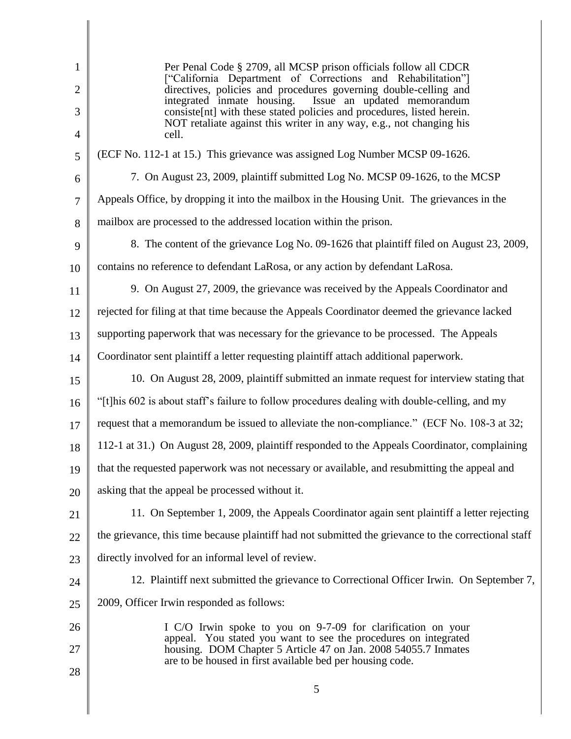| 1              | Per Penal Code § 2709, all MCSP prison officials follow all CDCR<br>["California Department of Corrections and Rehabilitation"]                 |
|----------------|-------------------------------------------------------------------------------------------------------------------------------------------------|
| $\overline{2}$ | directives, policies and procedures governing double-celling and<br>integrated inmate housing.<br>Issue an updated memorandum                   |
| 3              | consiste [nt] with these stated policies and procedures, listed herein.<br>NOT retaliate against this writer in any way, e.g., not changing his |
| $\overline{4}$ | cell.                                                                                                                                           |
| 5              | (ECF No. 112-1 at 15.) This grievance was assigned Log Number MCSP 09-1626.                                                                     |
| 6              | 7. On August 23, 2009, plaintiff submitted Log No. MCSP 09-1626, to the MCSP                                                                    |
| $\overline{7}$ | Appeals Office, by dropping it into the mailbox in the Housing Unit. The grievances in the                                                      |
| 8              | mailbox are processed to the addressed location within the prison.                                                                              |
| 9              | 8. The content of the grievance Log No. 09-1626 that plaintiff filed on August 23, 2009,                                                        |
| 10             | contains no reference to defendant LaRosa, or any action by defendant LaRosa.                                                                   |
| 11             | 9. On August 27, 2009, the grievance was received by the Appeals Coordinator and                                                                |
| 12             | rejected for filing at that time because the Appeals Coordinator deemed the grievance lacked                                                    |
| 13             | supporting paperwork that was necessary for the grievance to be processed. The Appeals                                                          |
| 14             | Coordinator sent plaintiff a letter requesting plaintiff attach additional paperwork.                                                           |
| 15             | 10. On August 28, 2009, plaintiff submitted an inmate request for interview stating that                                                        |
| 16             | "[t] his 602 is about staff's failure to follow procedures dealing with double-celling, and my                                                  |
| 17             | request that a memorandum be issued to alleviate the non-compliance." (ECF No. 108-3 at 32;                                                     |
| 18             | 112-1 at 31.) On August 28, 2009, plaintiff responded to the Appeals Coordinator, complaining                                                   |
| 19             | that the requested paperwork was not necessary or available, and resubmitting the appeal and                                                    |
| 20             | asking that the appeal be processed without it.                                                                                                 |
| 21             | 11. On September 1, 2009, the Appeals Coordinator again sent plaintiff a letter rejecting                                                       |
| 22             | the grievance, this time because plaintiff had not submitted the grievance to the correctional staff                                            |
| 23             | directly involved for an informal level of review.                                                                                              |
| 24             | 12. Plaintiff next submitted the grievance to Correctional Officer Irwin. On September 7,                                                       |
| 25             | 2009, Officer Irwin responded as follows:                                                                                                       |
| 26             | I C/O Irwin spoke to you on 9-7-09 for clarification on your                                                                                    |
| 27             | appeal. You stated you want to see the procedures on integrated<br>housing. DOM Chapter 5 Article 47 on Jan. 2008 54055.7 Inmates               |
| 28             | are to be housed in first available bed per housing code.                                                                                       |
|                | 5                                                                                                                                               |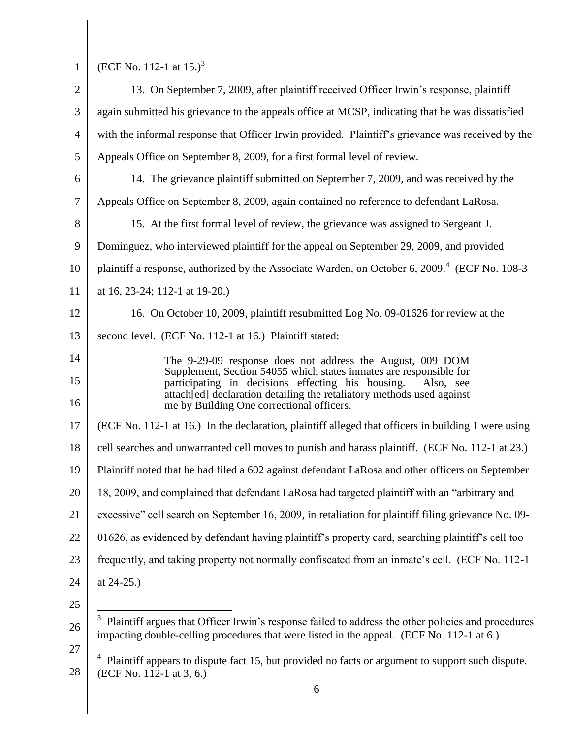I

1 (ECF No. 112-1 at 15.)<sup>3</sup>

| $\overline{2}$ | 13. On September 7, 2009, after plaintiff received Officer Irwin's response, plaintiff                                                                                                               |
|----------------|------------------------------------------------------------------------------------------------------------------------------------------------------------------------------------------------------|
| 3              | again submitted his grievance to the appeals office at MCSP, indicating that he was dissatisfied                                                                                                     |
| 4              | with the informal response that Officer Irwin provided. Plaintiff's grievance was received by the                                                                                                    |
| 5              | Appeals Office on September 8, 2009, for a first formal level of review.                                                                                                                             |
| 6              | 14. The grievance plaintiff submitted on September 7, 2009, and was received by the                                                                                                                  |
| 7              | Appeals Office on September 8, 2009, again contained no reference to defendant LaRosa.                                                                                                               |
| 8              | 15. At the first formal level of review, the grievance was assigned to Sergeant J.                                                                                                                   |
| 9              | Dominguez, who interviewed plaintiff for the appeal on September 29, 2009, and provided                                                                                                              |
| 10             | plaintiff a response, authorized by the Associate Warden, on October 6, 2009. <sup>4</sup> (ECF No. 108-3)                                                                                           |
| 11             | at 16, 23-24; 112-1 at 19-20.)                                                                                                                                                                       |
| 12             | 16. On October 10, 2009, plaintiff resubmitted Log No. 09-01626 for review at the                                                                                                                    |
| 13             | second level. (ECF No. 112-1 at 16.) Plaintiff stated:                                                                                                                                               |
| 14             | The 9-29-09 response does not address the August, 009 DOM                                                                                                                                            |
| 15             | Supplement, Section 54055 which states inmates are responsible for<br>participating in decisions effecting his housing.<br>Also, see                                                                 |
| 16             | attach[ed] declaration detailing the retaliatory methods used against<br>me by Building One correctional officers.                                                                                   |
| 17             | (ECF No. 112-1 at 16.) In the declaration, plaintiff alleged that officers in building 1 were using                                                                                                  |
| 18             | cell searches and unwarranted cell moves to punish and harass plaintiff. (ECF No. 112-1 at 23.)                                                                                                      |
| 19             | Plaintiff noted that he had filed a 602 against defendant LaRosa and other officers on September                                                                                                     |
| 20             | 18, 2009, and complained that defendant LaRosa had targeted plaintiff with an "arbitrary and                                                                                                         |
| 21             | excessive" cell search on September 16, 2009, in retaliation for plaintiff filing grievance No. 09-                                                                                                  |
| 22             | 01626, as evidenced by defendant having plaintiff's property card, searching plaintiff's cell too                                                                                                    |
| 23             | frequently, and taking property not normally confiscated from an inmate's cell. (ECF No. 112-1)                                                                                                      |
| 24             | at $24-25.$ )                                                                                                                                                                                        |
| 25             |                                                                                                                                                                                                      |
| 26             | 3<br>Plaintiff argues that Officer Irwin's response failed to address the other policies and procedures<br>impacting double-celling procedures that were listed in the appeal. (ECF No. 112-1 at 6.) |
| 27<br>28       | Plaintiff appears to dispute fact 15, but provided no facts or argument to support such dispute.<br>(ECF No. 112-1 at 3, 6.)                                                                         |
|                | 6                                                                                                                                                                                                    |
|                |                                                                                                                                                                                                      |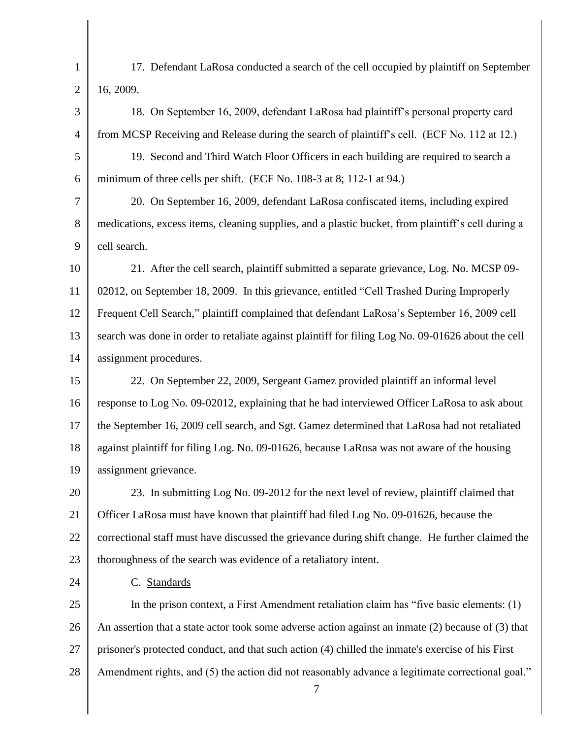1 2 17. Defendant LaRosa conducted a search of the cell occupied by plaintiff on September 16, 2009.

3 4 18. On September 16, 2009, defendant LaRosa had plaintiff"s personal property card from MCSP Receiving and Release during the search of plaintiff"s cell. (ECF No. 112 at 12.)

5 6 19. Second and Third Watch Floor Officers in each building are required to search a minimum of three cells per shift. (ECF No. 108-3 at 8; 112-1 at 94.)

7 8 9 20. On September 16, 2009, defendant LaRosa confiscated items, including expired medications, excess items, cleaning supplies, and a plastic bucket, from plaintiff"s cell during a cell search.

10 11 12 13 14 21. After the cell search, plaintiff submitted a separate grievance, Log. No. MCSP 09- 02012, on September 18, 2009. In this grievance, entitled "Cell Trashed During Improperly Frequent Cell Search," plaintiff complained that defendant LaRosa"s September 16, 2009 cell search was done in order to retaliate against plaintiff for filing Log No. 09-01626 about the cell assignment procedures.

15 16 17 18 19 22. On September 22, 2009, Sergeant Gamez provided plaintiff an informal level response to Log No. 09-02012, explaining that he had interviewed Officer LaRosa to ask about the September 16, 2009 cell search, and Sgt. Gamez determined that LaRosa had not retaliated against plaintiff for filing Log. No. 09-01626, because LaRosa was not aware of the housing assignment grievance.

20 21 22 23 23. In submitting Log No. 09-2012 for the next level of review, plaintiff claimed that Officer LaRosa must have known that plaintiff had filed Log No. 09-01626, because the correctional staff must have discussed the grievance during shift change. He further claimed the thoroughness of the search was evidence of a retaliatory intent.

C. Standards

24

25 26 27 28 In the prison context, a First Amendment retaliation claim has "five basic elements: (1) An assertion that a state actor took some adverse action against an inmate (2) because of (3) that prisoner's protected conduct, and that such action (4) chilled the inmate's exercise of his First Amendment rights, and (5) the action did not reasonably advance a legitimate correctional goal."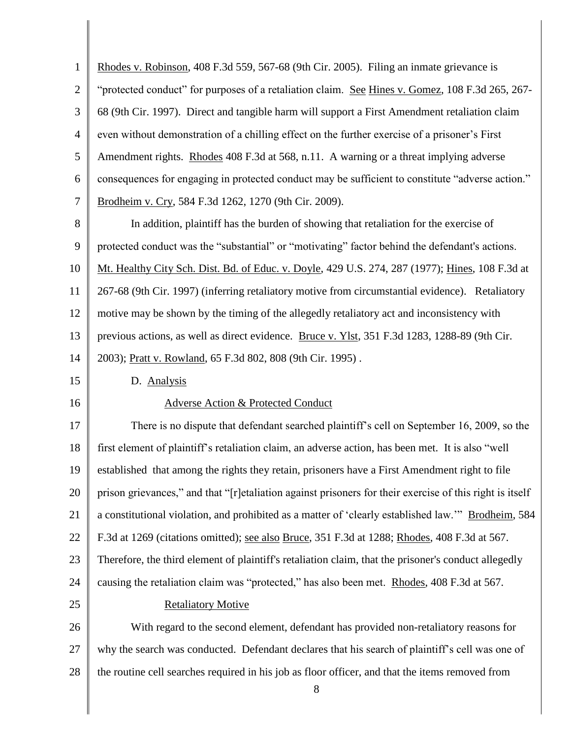| $\mathbf{1}$   | Rhodes v. Robinson, 408 F.3d 559, 567-68 (9th Cir. 2005). Filing an inmate grievance is                   |
|----------------|-----------------------------------------------------------------------------------------------------------|
| $\overline{2}$ | "protected conduct" for purposes of a retaliation claim. See Hines v. Gomez, 108 F.3d 265, 267-           |
| 3              | 68 (9th Cir. 1997). Direct and tangible harm will support a First Amendment retaliation claim             |
| $\overline{4}$ | even without demonstration of a chilling effect on the further exercise of a prisoner's First             |
| 5              | Amendment rights. Rhodes 408 F.3d at 568, n.11. A warning or a threat implying adverse                    |
| 6              | consequences for engaging in protected conduct may be sufficient to constitute "adverse action."          |
| 7              | Brodheim v. Cry, 584 F.3d 1262, 1270 (9th Cir. 2009).                                                     |
| 8              | In addition, plaintiff has the burden of showing that retaliation for the exercise of                     |
| 9              | protected conduct was the "substantial" or "motivating" factor behind the defendant's actions.            |
| 10             | Mt. Healthy City Sch. Dist. Bd. of Educ. v. Doyle, 429 U.S. 274, 287 (1977); Hines, 108 F.3d at           |
| 11             | 267-68 (9th Cir. 1997) (inferring retaliatory motive from circumstantial evidence). Retaliatory           |
| 12             | motive may be shown by the timing of the allegedly retaliatory act and inconsistency with                 |
| 13             | previous actions, as well as direct evidence. Bruce v. Ylst, 351 F.3d 1283, 1288-89 (9th Cir.             |
| 14             | 2003); Pratt v. Rowland, 65 F.3d 802, 808 (9th Cir. 1995).                                                |
| 15             | D. Analysis                                                                                               |
| 16             | Adverse Action & Protected Conduct                                                                        |
| 17             | There is no dispute that defendant searched plaintiff's cell on September 16, 2009, so the                |
| 18             | first element of plaintiff's retaliation claim, an adverse action, has been met. It is also "well         |
| 19             | established that among the rights they retain, prisoners have a First Amendment right to file             |
| 20             | prison grievances," and that "[r] etaliation against prisoners for their exercise of this right is itself |
| 21             | a constitutional violation, and prohibited as a matter of 'clearly established law." Brodheim, 584        |
| 22             | F.3d at 1269 (citations omitted); see also Bruce, 351 F.3d at 1288; Rhodes, 408 F.3d at 567.              |
| 23             | Therefore, the third element of plaintiff's retaliation claim, that the prisoner's conduct allegedly      |
| 24             | causing the retaliation claim was "protected," has also been met. Rhodes, 408 F.3d at 567.                |
| 25             | <b>Retaliatory Motive</b>                                                                                 |
| 26             | With regard to the second element, defendant has provided non-retaliatory reasons for                     |
| 27             | why the search was conducted. Defendant declares that his search of plaintiff's cell was one of           |
| 28             | the routine cell searches required in his job as floor officer, and that the items removed from<br>$8\,$  |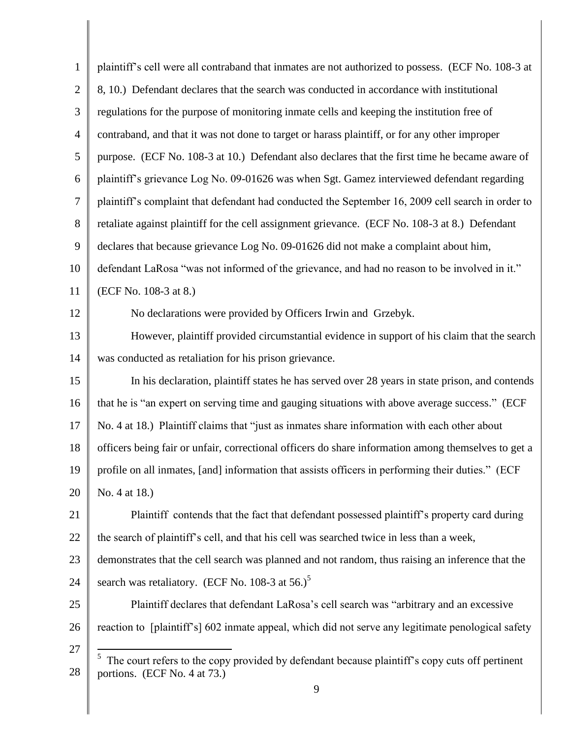| $\mathbf{1}$   | plaintiff's cell were all contraband that inmates are not authorized to possess. (ECF No. 108-3 at  |
|----------------|-----------------------------------------------------------------------------------------------------|
| $\overline{2}$ | 8, 10.) Defendant declares that the search was conducted in accordance with institutional           |
| $\mathfrak{Z}$ | regulations for the purpose of monitoring inmate cells and keeping the institution free of          |
| $\overline{4}$ | contraband, and that it was not done to target or harass plaintiff, or for any other improper       |
| 5              | purpose. (ECF No. 108-3 at 10.) Defendant also declares that the first time he became aware of      |
| 6              | plaintiff's grievance Log No. 09-01626 was when Sgt. Gamez interviewed defendant regarding          |
| $\overline{7}$ | plaintiff's complaint that defendant had conducted the September 16, 2009 cell search in order to   |
| 8              | retaliate against plaintiff for the cell assignment grievance. (ECF No. 108-3 at 8.) Defendant      |
| 9              | declares that because grievance Log No. 09-01626 did not make a complaint about him,                |
| 10             | defendant LaRosa "was not informed of the grievance, and had no reason to be involved in it."       |
| 11             | (ECF No. 108-3 at 8.)                                                                               |
| 12             | No declarations were provided by Officers Irwin and Grzebyk.                                        |
| 13             | However, plaintiff provided circumstantial evidence in support of his claim that the search         |
| 14             | was conducted as retaliation for his prison grievance.                                              |
| 15             | In his declaration, plaintiff states he has served over 28 years in state prison, and contends      |
| 16             | that he is "an expert on serving time and gauging situations with above average success." (ECF      |
| 17             | No. 4 at 18.) Plaintiff claims that "just as inmates share information with each other about        |
| 18             | officers being fair or unfair, correctional officers do share information among themselves to get a |
| 19             | profile on all inmates, [and] information that assists officers in performing their duties." (ECF   |
| 20             | No. 4 at 18.)                                                                                       |
| 21             | Plaintiff contends that the fact that defendant possessed plaintiff's property card during          |
| 22             | the search of plaintiff's cell, and that his cell was searched twice in less than a week,           |
| 23             | demonstrates that the cell search was planned and not random, thus raising an inference that the    |
| 24             | search was retaliatory. (ECF No. 108-3 at 56.) <sup>5</sup>                                         |
| 25             | Plaintiff declares that defendant LaRosa's cell search was "arbitrary and an excessive              |
| 26             | reaction to [plaintiff's] 602 inmate appeal, which did not serve any legitimate penological safety  |
| 27             | The court refers to the copy provided by defendant because plaintiff's copy cuts off pertinent      |
| 28             | portions. (ECF No. 4 at 73.)                                                                        |
|                | 9                                                                                                   |

I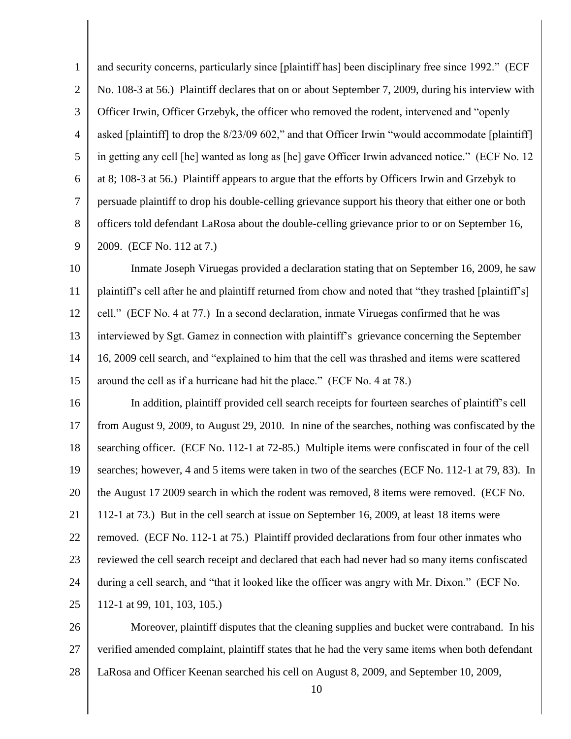1 2 3 4 5 6 7 8 9 and security concerns, particularly since [plaintiff has] been disciplinary free since 1992." (ECF No. 108-3 at 56.) Plaintiff declares that on or about September 7, 2009, during his interview with Officer Irwin, Officer Grzebyk, the officer who removed the rodent, intervened and "openly asked [plaintiff] to drop the 8/23/09 602," and that Officer Irwin "would accommodate [plaintiff] in getting any cell [he] wanted as long as [he] gave Officer Irwin advanced notice." (ECF No. 12 at 8; 108-3 at 56.) Plaintiff appears to argue that the efforts by Officers Irwin and Grzebyk to persuade plaintiff to drop his double-celling grievance support his theory that either one or both officers told defendant LaRosa about the double-celling grievance prior to or on September 16, 2009. (ECF No. 112 at 7.)

10 11 12 13 14 15 Inmate Joseph Viruegas provided a declaration stating that on September 16, 2009, he saw plaintiff"s cell after he and plaintiff returned from chow and noted that "they trashed [plaintiff"s] cell." (ECF No. 4 at 77.) In a second declaration, inmate Viruegas confirmed that he was interviewed by Sgt. Gamez in connection with plaintiff"s grievance concerning the September 16, 2009 cell search, and "explained to him that the cell was thrashed and items were scattered around the cell as if a hurricane had hit the place." (ECF No. 4 at 78.)

16 17 18 19 20 21 22 23 24 25 In addition, plaintiff provided cell search receipts for fourteen searches of plaintiff"s cell from August 9, 2009, to August 29, 2010. In nine of the searches, nothing was confiscated by the searching officer. (ECF No. 112-1 at 72-85.) Multiple items were confiscated in four of the cell searches; however, 4 and 5 items were taken in two of the searches (ECF No. 112-1 at 79, 83). In the August 17 2009 search in which the rodent was removed, 8 items were removed. (ECF No. 112-1 at 73.) But in the cell search at issue on September 16, 2009, at least 18 items were removed. (ECF No. 112-1 at 75.) Plaintiff provided declarations from four other inmates who reviewed the cell search receipt and declared that each had never had so many items confiscated during a cell search, and "that it looked like the officer was angry with Mr. Dixon." (ECF No. 112-1 at 99, 101, 103, 105.)

26 27 28 Moreover, plaintiff disputes that the cleaning supplies and bucket were contraband. In his verified amended complaint, plaintiff states that he had the very same items when both defendant LaRosa and Officer Keenan searched his cell on August 8, 2009, and September 10, 2009,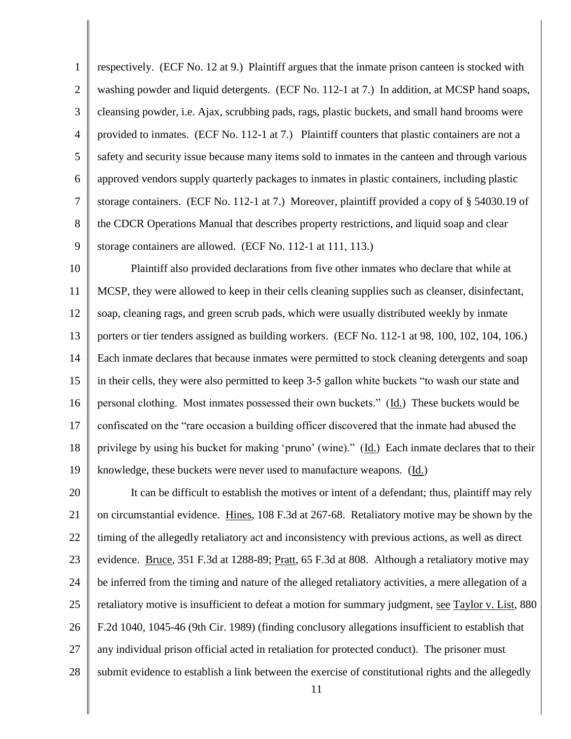1 2 3 4 5 6 7 8 9 respectively. (ECF No. 12 at 9.) Plaintiff argues that the inmate prison canteen is stocked with washing powder and liquid detergents. (ECF No. 112-1 at 7.) In addition, at MCSP hand soaps, cleansing powder, i.e. Ajax, scrubbing pads, rags, plastic buckets, and small hand brooms were provided to inmates. (ECF No. 112-1 at 7.) Plaintiff counters that plastic containers are not a safety and security issue because many items sold to inmates in the canteen and through various approved vendors supply quarterly packages to inmates in plastic containers, including plastic storage containers. (ECF No. 112-1 at 7.) Moreover, plaintiff provided a copy of § 54030.19 of the CDCR Operations Manual that describes property restrictions, and liquid soap and clear storage containers are allowed. (ECF No. 112-1 at 111, 113.)

10 11 12 13 14 15 16 17 18 19 Plaintiff also provided declarations from five other inmates who declare that while at MCSP, they were allowed to keep in their cells cleaning supplies such as cleanser, disinfectant, soap, cleaning rags, and green scrub pads, which were usually distributed weekly by inmate porters or tier tenders assigned as building workers. (ECF No. 112-1 at 98, 100, 102, 104, 106.) Each inmate declares that because inmates were permitted to stock cleaning detergents and soap in their cells, they were also permitted to keep 3-5 gallon white buckets "to wash our state and personal clothing. Most inmates possessed their own buckets." (Id.) These buckets would be confiscated on the "rare occasion a building officer discovered that the inmate had abused the privilege by using his bucket for making "pruno" (wine)." (Id.) Each inmate declares that to their knowledge, these buckets were never used to manufacture weapons. (Id.)

20 21 22 23 24 25 26 27 28 It can be difficult to establish the motives or intent of a defendant; thus, plaintiff may rely on circumstantial evidence. Hines, 108 F.3d at 267-68. Retaliatory motive may be shown by the timing of the allegedly retaliatory act and inconsistency with previous actions, as well as direct evidence. Bruce, 351 F.3d at 1288-89; Pratt, 65 F.3d at 808. Although a retaliatory motive may be inferred from the timing and nature of the alleged retaliatory activities, a mere allegation of a retaliatory motive is insufficient to defeat a motion for summary judgment, see Taylor v. List, 880 F.2d 1040, 1045-46 (9th Cir. 1989) (finding conclusory allegations insufficient to establish that any individual prison official acted in retaliation for protected conduct). The prisoner must submit evidence to establish a link between the exercise of constitutional rights and the allegedly

11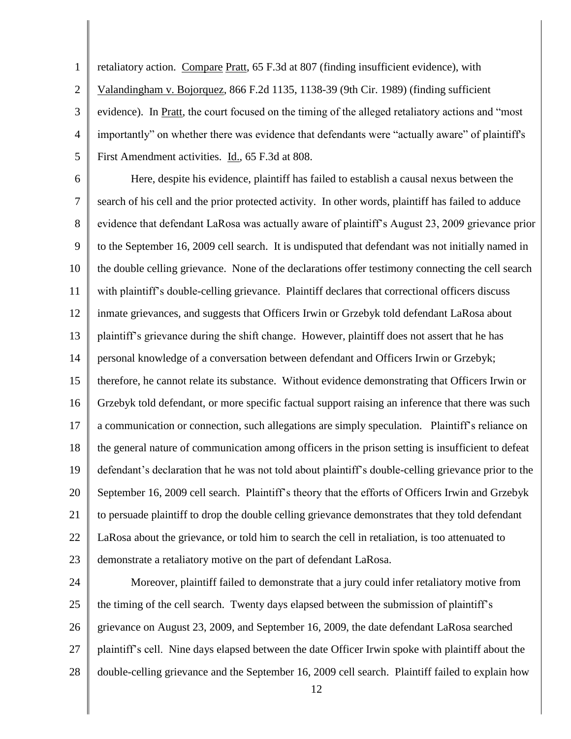1 2 3 4 5 retaliatory action. Compare Pratt, 65 F.3d at 807 (finding insufficient evidence), with Valandingham v. Bojorquez, 866 F.2d 1135, 1138-39 (9th Cir. 1989) (finding sufficient evidence). In Pratt, the court focused on the timing of the alleged retaliatory actions and "most importantly" on whether there was evidence that defendants were "actually aware" of plaintiff's First Amendment activities. Id., 65 F.3d at 808.

6 7 8 9 10 11 12 13 14 15 16 17 18 19 20 21 22 23 Here, despite his evidence, plaintiff has failed to establish a causal nexus between the search of his cell and the prior protected activity. In other words, plaintiff has failed to adduce evidence that defendant LaRosa was actually aware of plaintiff"s August 23, 2009 grievance prior to the September 16, 2009 cell search. It is undisputed that defendant was not initially named in the double celling grievance. None of the declarations offer testimony connecting the cell search with plaintiff"s double-celling grievance. Plaintiff declares that correctional officers discuss inmate grievances, and suggests that Officers Irwin or Grzebyk told defendant LaRosa about plaintiff"s grievance during the shift change. However, plaintiff does not assert that he has personal knowledge of a conversation between defendant and Officers Irwin or Grzebyk; therefore, he cannot relate its substance. Without evidence demonstrating that Officers Irwin or Grzebyk told defendant, or more specific factual support raising an inference that there was such a communication or connection, such allegations are simply speculation. Plaintiff"s reliance on the general nature of communication among officers in the prison setting is insufficient to defeat defendant"s declaration that he was not told about plaintiff"s double-celling grievance prior to the September 16, 2009 cell search. Plaintiff's theory that the efforts of Officers Irwin and Grzebyk to persuade plaintiff to drop the double celling grievance demonstrates that they told defendant LaRosa about the grievance, or told him to search the cell in retaliation, is too attenuated to demonstrate a retaliatory motive on the part of defendant LaRosa.

24 25 26 27 28 Moreover, plaintiff failed to demonstrate that a jury could infer retaliatory motive from the timing of the cell search. Twenty days elapsed between the submission of plaintiff"s grievance on August 23, 2009, and September 16, 2009, the date defendant LaRosa searched plaintiff"s cell. Nine days elapsed between the date Officer Irwin spoke with plaintiff about the double-celling grievance and the September 16, 2009 cell search. Plaintiff failed to explain how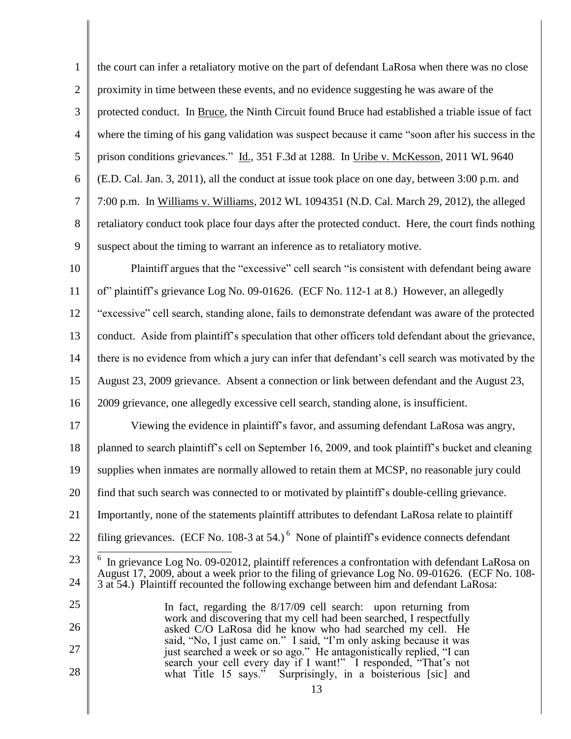1 2 3 4 5 6 7 8 9 10 11 12 13 14 15 16 17 18 19 20 21 22 23 24 25 26 27 28 13 the court can infer a retaliatory motive on the part of defendant LaRosa when there was no close proximity in time between these events, and no evidence suggesting he was aware of the protected conduct. In Bruce, the Ninth Circuit found Bruce had established a triable issue of fact where the timing of his gang validation was suspect because it came "soon after his success in the prison conditions grievances." Id., 351 F.3d at 1288. In Uribe v. McKesson, 2011 WL 9640 (E.D. Cal. Jan. 3, 2011), all the conduct at issue took place on one day, between 3:00 p.m. and 7:00 p.m. In Williams v. Williams, 2012 WL 1094351 (N.D. Cal. March 29, 2012), the alleged retaliatory conduct took place four days after the protected conduct. Here, the court finds nothing suspect about the timing to warrant an inference as to retaliatory motive. Plaintiff argues that the "excessive" cell search "is consistent with defendant being aware of" plaintiff"s grievance Log No. 09-01626. (ECF No. 112-1 at 8.) However, an allegedly "excessive" cell search, standing alone, fails to demonstrate defendant was aware of the protected conduct. Aside from plaintiff"s speculation that other officers told defendant about the grievance, there is no evidence from which a jury can infer that defendant's cell search was motivated by the August 23, 2009 grievance. Absent a connection or link between defendant and the August 23, 2009 grievance, one allegedly excessive cell search, standing alone, is insufficient. Viewing the evidence in plaintiff"s favor, and assuming defendant LaRosa was angry, planned to search plaintiff"s cell on September 16, 2009, and took plaintiff"s bucket and cleaning supplies when inmates are normally allowed to retain them at MCSP, no reasonable jury could find that such search was connected to or motivated by plaintiff"s double-celling grievance. Importantly, none of the statements plaintiff attributes to defendant LaRosa relate to plaintiff filing grievances. (ECF No. 108-3 at 54.)<sup>6</sup> None of plaintiff's evidence connects defendant <sup>6</sup> In grievance Log No. 09-02012, plaintiff references a confrontation with defendant LaRosa on August 17, 2009, about a week prior to the filing of grievance Log No. 09-01626. (ECF No. 108- 3 at 54.) Plaintiff recounted the following exchange between him and defendant LaRosa: In fact, regarding the 8/17/09 cell search: upon returning from work and discovering that my cell had been searched, I respectfully asked C/O LaRosa did he know who had searched my cell. He said, "No, I just came on." I said, "I"m only asking because it was just searched a week or so ago." He antagonistically replied, "I can search your cell every day if I want!" I responded, "That's not what Title 15 says." Surprisingly, in a boisterious [sic] and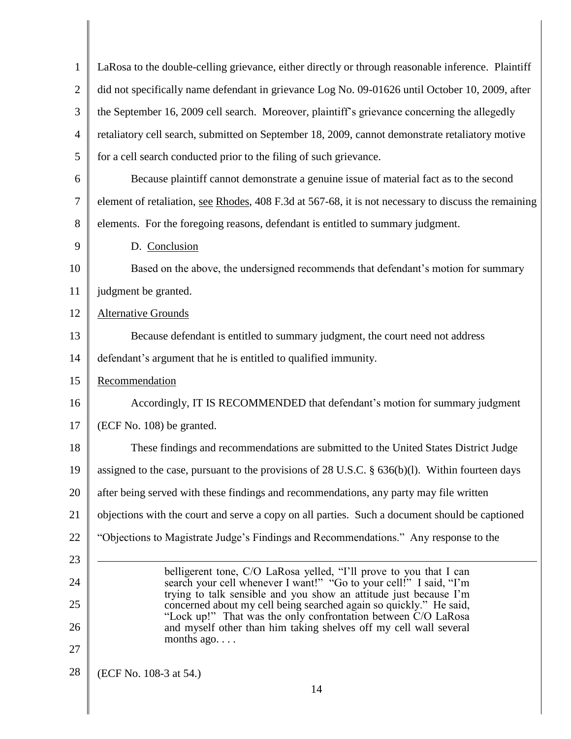| $\mathbf{1}$   | LaRosa to the double-celling grievance, either directly or through reasonable inference. Plaintiff                                       |
|----------------|------------------------------------------------------------------------------------------------------------------------------------------|
| $\overline{2}$ | did not specifically name defendant in grievance Log No. 09-01626 until October 10, 2009, after                                          |
| 3              | the September 16, 2009 cell search. Moreover, plaintiff's grievance concerning the allegedly                                             |
| $\overline{4}$ | retaliatory cell search, submitted on September 18, 2009, cannot demonstrate retaliatory motive                                          |
| 5              | for a cell search conducted prior to the filing of such grievance.                                                                       |
| 6              | Because plaintiff cannot demonstrate a genuine issue of material fact as to the second                                                   |
| $\tau$         | element of retaliation, see Rhodes, 408 F.3d at 567-68, it is not necessary to discuss the remaining                                     |
| 8              | elements. For the foregoing reasons, defendant is entitled to summary judgment.                                                          |
| 9              | D. Conclusion                                                                                                                            |
| 10             | Based on the above, the undersigned recommends that defendant's motion for summary                                                       |
| 11             | judgment be granted.                                                                                                                     |
| 12             | <b>Alternative Grounds</b>                                                                                                               |
| 13             | Because defendant is entitled to summary judgment, the court need not address                                                            |
| 14             | defendant's argument that he is entitled to qualified immunity.                                                                          |
| 15             | Recommendation                                                                                                                           |
| 16             | Accordingly, IT IS RECOMMENDED that defendant's motion for summary judgment                                                              |
| 17             | (ECF No. 108) be granted.                                                                                                                |
| 18             | These findings and recommendations are submitted to the United States District Judge                                                     |
| 19             | assigned to the case, pursuant to the provisions of 28 U.S.C. § 636(b)(l). Within fourteen days                                          |
| 20             | after being served with these findings and recommendations, any party may file written                                                   |
| 21             | objections with the court and serve a copy on all parties. Such a document should be captioned                                           |
| 22             | "Objections to Magistrate Judge's Findings and Recommendations." Any response to the                                                     |
| 23             |                                                                                                                                          |
| 24             | belligerent tone, C/O LaRosa yelled, "I'll prove to you that I can<br>search your cell whenever I want!" "Go to your cell!" I said, "I'm |
| 25             | trying to talk sensible and you show an attitude just because I'm<br>concerned about my cell being searched again so quickly." He said,  |
| 26             | "Lock up!" That was the only confrontation between C/O LaRosa<br>and myself other than him taking shelves off my cell wall several       |
| 27             | months $ago. \ldots$                                                                                                                     |
| 28             | (ECF No. 108-3 at 54.)                                                                                                                   |
|                | 14                                                                                                                                       |

║